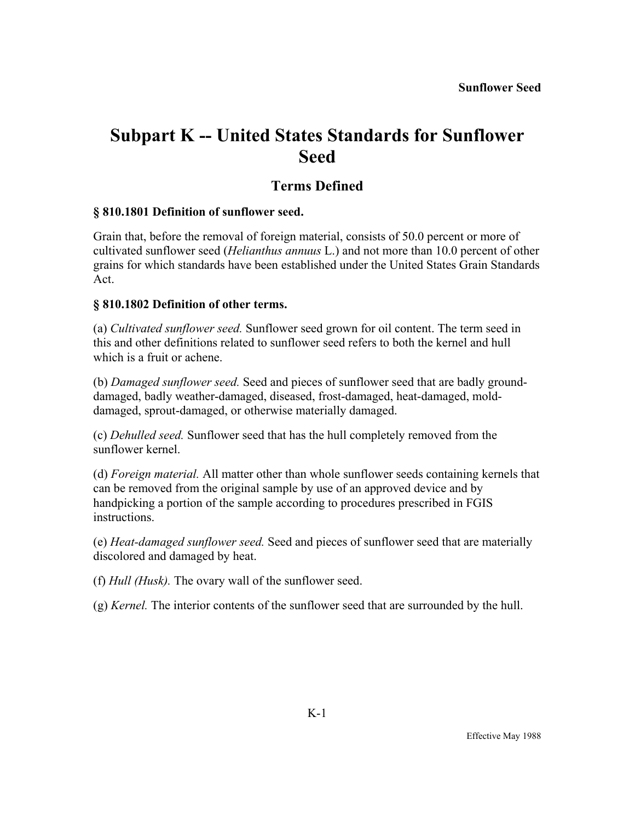# **Subpart K -- United States Standards for Sunflower Seed**

### **Terms Defined**

#### **§ 810.1801 Definition of sunflower seed.**

Grain that, before the removal of foreign material, consists of 50.0 percent or more of cultivated sunflower seed (*Helianthus annuus* L.) and not more than 10.0 percent of other grains for which standards have been established under the United States Grain Standards Act.

#### **§ 810.1802 Definition of other terms.**

(a) *Cultivated sunflower seed.* Sunflower seed grown for oil content. The term seed in this and other definitions related to sunflower seed refers to both the kernel and hull which is a fruit or achene.

(b) *Damaged sunflower seed.* Seed and pieces of sunflower seed that are badly grounddamaged, badly weather-damaged, diseased, frost-damaged, heat-damaged, molddamaged, sprout-damaged, or otherwise materially damaged.

(c) *Dehulled seed.* Sunflower seed that has the hull completely removed from the sunflower kernel.

(d) *Foreign material.* All matter other than whole sunflower seeds containing kernels that can be removed from the original sample by use of an approved device and by handpicking a portion of the sample according to procedures prescribed in FGIS instructions.

(e) *Heat-damaged sunflower seed.* Seed and pieces of sunflower seed that are materially discolored and damaged by heat.

(f) *Hull (Husk).* The ovary wall of the sunflower seed.

(g) *Kernel.* The interior contents of the sunflower seed that are surrounded by the hull.